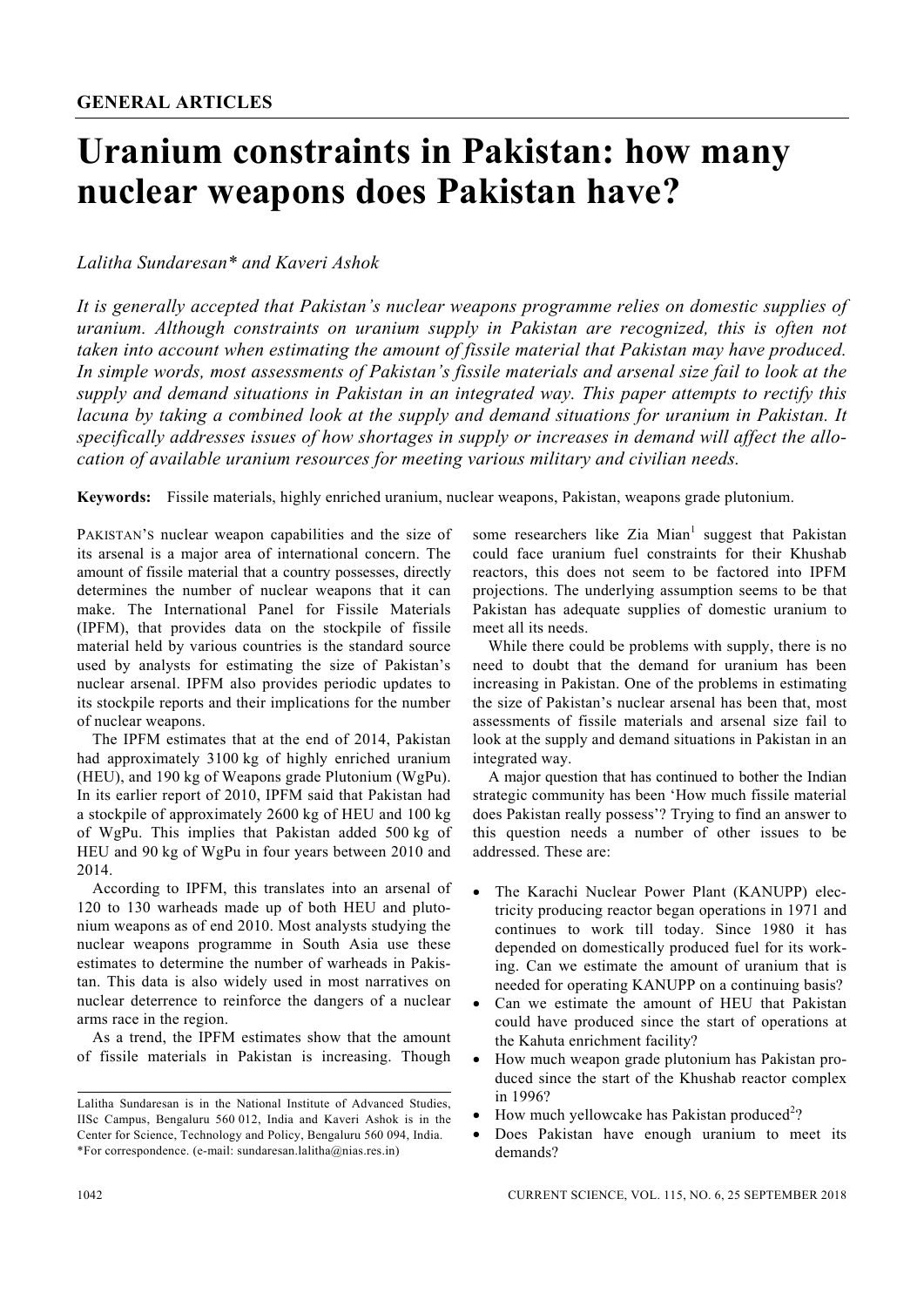# **Uranium constraints in Pakistan: how many nuclear weapons does Pakistan have?**

### *Lalitha Sundaresan\* and Kaveri Ashok*

*It is generally accepted that Pakistan's nuclear weapons programme relies on domestic supplies of uranium. Although constraints on uranium supply in Pakistan are recognized, this is often not taken into account when estimating the amount of fissile material that Pakistan may have produced. In simple words, most assessments of Pakistan's fissile materials and arsenal size fail to look at the supply and demand situations in Pakistan in an integrated way. This paper attempts to rectify this lacuna by taking a combined look at the supply and demand situations for uranium in Pakistan. It specifically addresses issues of how shortages in supply or increases in demand will affect the allocation of available uranium resources for meeting various military and civilian needs.* 

**Keywords:** Fissile materials, highly enriched uranium, nuclear weapons, Pakistan, weapons grade plutonium.

PAKISTAN'S nuclear weapon capabilities and the size of its arsenal is a major area of international concern. The amount of fissile material that a country possesses, directly determines the number of nuclear weapons that it can make. The International Panel for Fissile Materials (IPFM), that provides data on the stockpile of fissile material held by various countries is the standard source used by analysts for estimating the size of Pakistan's nuclear arsenal. IPFM also provides periodic updates to its stockpile reports and their implications for the number of nuclear weapons.

 The IPFM estimates that at the end of 2014, Pakistan had approximately 3100 kg of highly enriched uranium (HEU), and 190 kg of Weapons grade Plutonium (WgPu). In its earlier report of 2010, IPFM said that Pakistan had a stockpile of approximately 2600 kg of HEU and 100 kg of WgPu. This implies that Pakistan added 500 kg of HEU and 90 kg of WgPu in four years between 2010 and 2014.

 According to IPFM, this translates into an arsenal of 120 to 130 warheads made up of both HEU and plutonium weapons as of end 2010. Most analysts studying the nuclear weapons programme in South Asia use these estimates to determine the number of warheads in Pakistan. This data is also widely used in most narratives on nuclear deterrence to reinforce the dangers of a nuclear arms race in the region.

 As a trend, the IPFM estimates show that the amount of fissile materials in Pakistan is increasing. Though

some researchers like Zia Mian<sup>1</sup> suggest that Pakistan could face uranium fuel constraints for their Khushab reactors, this does not seem to be factored into IPFM projections. The underlying assumption seems to be that Pakistan has adequate supplies of domestic uranium to meet all its needs.

 While there could be problems with supply, there is no need to doubt that the demand for uranium has been increasing in Pakistan. One of the problems in estimating the size of Pakistan's nuclear arsenal has been that, most assessments of fissile materials and arsenal size fail to look at the supply and demand situations in Pakistan in an integrated way.

 A major question that has continued to bother the Indian strategic community has been 'How much fissile material does Pakistan really possess'? Trying to find an answer to this question needs a number of other issues to be addressed. These are:

- The Karachi Nuclear Power Plant (KANUPP) electricity producing reactor began operations in 1971 and continues to work till today. Since 1980 it has depended on domestically produced fuel for its working. Can we estimate the amount of uranium that is needed for operating KANUPP on a continuing basis?
- Can we estimate the amount of HEU that Pakistan could have produced since the start of operations at the Kahuta enrichment facility?
- How much weapon grade plutonium has Pakistan produced since the start of the Khushab reactor complex in 1996?
- How much yellowcake has Pakistan produced<sup>2</sup>?
- Does Pakistan have enough uranium to meet its demands?

Lalitha Sundaresan is in the National Institute of Advanced Studies, IISc Campus, Bengaluru 560 012, India and Kaveri Ashok is in the Center for Science, Technology and Policy, Bengaluru 560 094, India. \*For correspondence. (e-mail: sundaresan.lalitha@nias.res.in)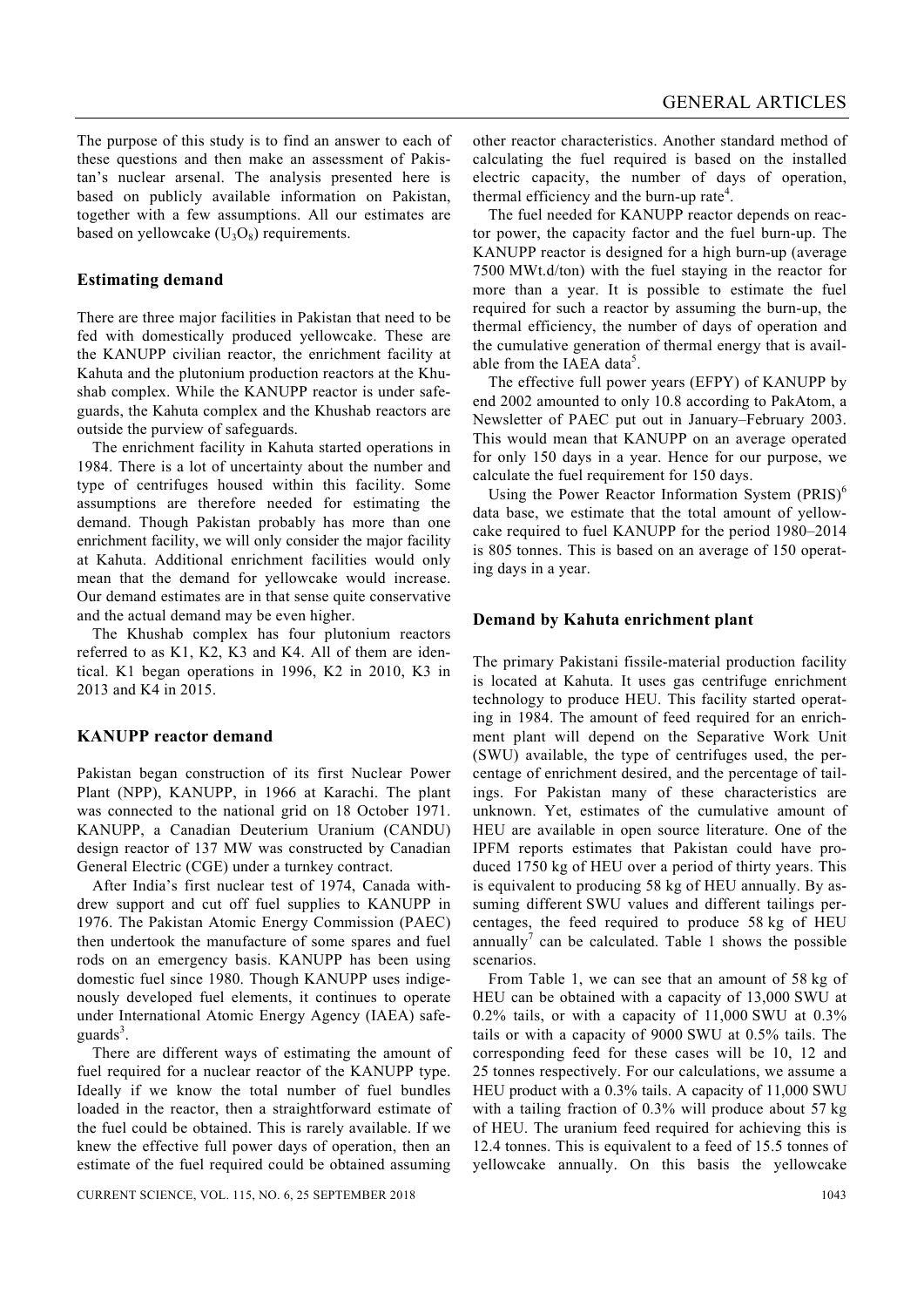The purpose of this study is to find an answer to each of these questions and then make an assessment of Pakistan's nuclear arsenal. The analysis presented here is based on publicly available information on Pakistan, together with a few assumptions. All our estimates are based on yellowcake  $(U_3O_8)$  requirements.

#### **Estimating demand**

There are three major facilities in Pakistan that need to be fed with domestically produced yellowcake. These are the KANUPP civilian reactor, the enrichment facility at Kahuta and the plutonium production reactors at the Khushab complex. While the KANUPP reactor is under safeguards, the Kahuta complex and the Khushab reactors are outside the purview of safeguards.

 The enrichment facility in Kahuta started operations in 1984. There is a lot of uncertainty about the number and type of centrifuges housed within this facility. Some assumptions are therefore needed for estimating the demand. Though Pakistan probably has more than one enrichment facility, we will only consider the major facility at Kahuta. Additional enrichment facilities would only mean that the demand for yellowcake would increase. Our demand estimates are in that sense quite conservative and the actual demand may be even higher.

 The Khushab complex has four plutonium reactors referred to as K1, K2, K3 and K4. All of them are identical. K1 began operations in 1996, K2 in 2010, K3 in 2013 and K4 in 2015.

#### **KANUPP reactor demand**

Pakistan began construction of its first Nuclear Power Plant (NPP), KANUPP, in 1966 at Karachi. The plant was connected to the national grid on 18 October 1971. KANUPP, a Canadian Deuterium Uranium (CANDU) design reactor of 137 MW was constructed by Canadian General Electric (CGE) under a turnkey contract.

 After India's first nuclear test of 1974, Canada withdrew support and cut off fuel supplies to KANUPP in 1976. The Pakistan Atomic Energy Commission (PAEC) then undertook the manufacture of some spares and fuel rods on an emergency basis. KANUPP has been using domestic fuel since 1980. Though KANUPP uses indigenously developed fuel elements, it continues to operate under International Atomic Energy Agency (IAEA) safeguards<sup>3</sup>.

 There are different ways of estimating the amount of fuel required for a nuclear reactor of the KANUPP type. Ideally if we know the total number of fuel bundles loaded in the reactor, then a straightforward estimate of the fuel could be obtained. This is rarely available. If we knew the effective full power days of operation, then an estimate of the fuel required could be obtained assuming other reactor characteristics. Another standard method of calculating the fuel required is based on the installed electric capacity, the number of days of operation, thermal efficiency and the burn-up rate<sup>4</sup>.

 The fuel needed for KANUPP reactor depends on reactor power, the capacity factor and the fuel burn-up. The KANUPP reactor is designed for a high burn-up (average 7500 MWt.d/ton) with the fuel staying in the reactor for more than a year. It is possible to estimate the fuel required for such a reactor by assuming the burn-up, the thermal efficiency, the number of days of operation and the cumulative generation of thermal energy that is available from the IAEA data<sup>5</sup>.

 The effective full power years (EFPY) of KANUPP by end 2002 amounted to only 10.8 according to PakAtom, a Newsletter of PAEC put out in January–February 2003. This would mean that KANUPP on an average operated for only 150 days in a year. Hence for our purpose, we calculate the fuel requirement for 150 days.

Using the Power Reactor Information System  $(PRIS)^6$ data base, we estimate that the total amount of yellowcake required to fuel KANUPP for the period 1980–2014 is 805 tonnes. This is based on an average of 150 operating days in a year.

#### **Demand by Kahuta enrichment plant**

The primary Pakistani fissile-material production facility is located at Kahuta. It uses gas centrifuge enrichment technology to produce HEU. This facility started operating in 1984. The amount of feed required for an enrichment plant will depend on the Separative Work Unit (SWU) available, the type of centrifuges used, the percentage of enrichment desired, and the percentage of tailings. For Pakistan many of these characteristics are unknown. Yet, estimates of the cumulative amount of HEU are available in open source literature. One of the IPFM reports estimates that Pakistan could have produced 1750 kg of HEU over a period of thirty years. This is equivalent to producing 58 kg of HEU annually. By assuming different SWU values and different tailings percentages, the feed required to produce 58 kg of HEU annually<sup>7</sup> can be calculated. Table 1 shows the possible scenarios.

 From Table 1, we can see that an amount of 58 kg of HEU can be obtained with a capacity of 13,000 SWU at 0.2% tails, or with a capacity of 11,000 SWU at 0.3% tails or with a capacity of 9000 SWU at 0.5% tails. The corresponding feed for these cases will be 10, 12 and 25 tonnes respectively. For our calculations, we assume a HEU product with a 0.3% tails. A capacity of 11,000 SWU with a tailing fraction of 0.3% will produce about 57 kg of HEU. The uranium feed required for achieving this is 12.4 tonnes. This is equivalent to a feed of 15.5 tonnes of yellowcake annually. On this basis the yellowcake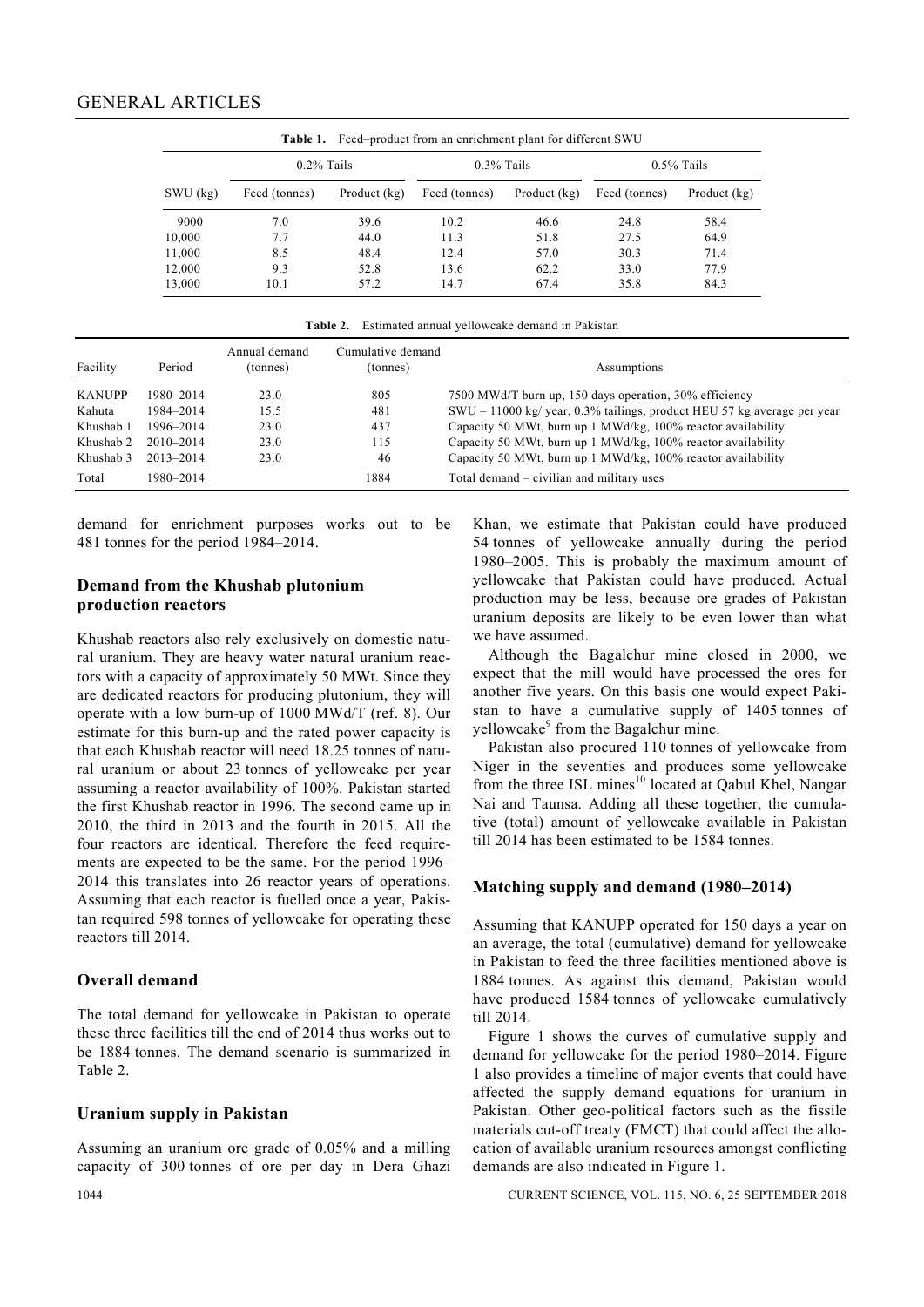| <b>Table 1.</b> Feed–product from an enrichment plant for different SWU |               |              |               |              |               |              |  |  |  |  |
|-------------------------------------------------------------------------|---------------|--------------|---------------|--------------|---------------|--------------|--|--|--|--|
|                                                                         | $0.2\%$ Tails |              | $0.3\%$ Tails |              | $0.5\%$ Tails |              |  |  |  |  |
| $SWU$ (kg)                                                              | Feed (tonnes) | Product (kg) | Feed (tonnes) | Product (kg) | Feed (tonnes) | Product (kg) |  |  |  |  |
| 9000                                                                    | 7.0           | 39.6         | 10.2          | 46.6         | 24.8          | 58.4         |  |  |  |  |
| 10,000                                                                  | 7.7           | 44.0         | 11.3          | 51.8         | 27.5          | 64.9         |  |  |  |  |
| 11,000                                                                  | 8.5           | 48.4         | 12.4          | 57.0         | 30.3          | 71.4         |  |  |  |  |
| 12,000                                                                  | 9.3           | 52.8         | 13.6          | 62.2         | 33.0          | 77.9         |  |  |  |  |
| 13,000                                                                  | 10.1          | 57.2         | 14.7          | 67.4         | 35.8          | 84.3         |  |  |  |  |

**Table 2.** Estimated annual yellowcake demand in Pakistan

| Facility      | Period        | Annual demand<br>(tonnes) | Cumulative demand<br>(tonnes) | Assumptions                                                             |
|---------------|---------------|---------------------------|-------------------------------|-------------------------------------------------------------------------|
| <b>KANUPP</b> | 1980-2014     | 23.0                      | 805                           | 7500 MWd/T burn up, 150 days operation, 30% efficiency                  |
| Kahuta        | 1984-2014     | 15.5                      | 481                           | SWU – 11000 kg/ year, 0.3% tailings, product HEU 57 kg average per year |
| Khushab 1     | 1996-2014     | 23.0                      | 437                           | Capacity 50 MWt, burn up 1 MWd/kg, 100% reactor availability            |
| Khushab 2     | $2010 - 2014$ | 23.0                      | 115                           | Capacity 50 MWt, burn up 1 MWd/kg, 100% reactor availability            |
| Khushab 3     | 2013-2014     | 23.0                      | 46                            | Capacity 50 MWt, burn up 1 MWd/kg, 100% reactor availability            |
| Total         | 1980-2014     |                           | 1884                          | Total demand – civilian and military uses                               |

demand for enrichment purposes works out to be 481 tonnes for the period 1984–2014.

#### **Demand from the Khushab plutonium production reactors**

Khushab reactors also rely exclusively on domestic natural uranium. They are heavy water natural uranium reactors with a capacity of approximately 50 MWt. Since they are dedicated reactors for producing plutonium, they will operate with a low burn-up of 1000 MWd/T (ref. 8). Our estimate for this burn-up and the rated power capacity is that each Khushab reactor will need 18.25 tonnes of natural uranium or about 23 tonnes of yellowcake per year assuming a reactor availability of 100%. Pakistan started the first Khushab reactor in 1996. The second came up in 2010, the third in 2013 and the fourth in 2015. All the four reactors are identical. Therefore the feed requirements are expected to be the same. For the period 1996– 2014 this translates into 26 reactor years of operations. Assuming that each reactor is fuelled once a year, Pakistan required 598 tonnes of yellowcake for operating these reactors till 2014.

#### **Overall demand**

The total demand for yellowcake in Pakistan to operate these three facilities till the end of 2014 thus works out to be 1884 tonnes. The demand scenario is summarized in Table 2.

#### **Uranium supply in Pakistan**

Assuming an uranium ore grade of 0.05% and a milling capacity of 300 tonnes of ore per day in Dera Ghazi Khan, we estimate that Pakistan could have produced 54 tonnes of yellowcake annually during the period 1980–2005. This is probably the maximum amount of yellowcake that Pakistan could have produced. Actual production may be less, because ore grades of Pakistan uranium deposits are likely to be even lower than what we have assumed.

 Although the Bagalchur mine closed in 2000, we expect that the mill would have processed the ores for another five years. On this basis one would expect Pakistan to have a cumulative supply of 1405 tonnes of yellowcake<sup>9</sup> from the Bagalchur mine.

 Pakistan also procured 110 tonnes of yellowcake from Niger in the seventies and produces some yellowcake from the three ISL mines<sup>10</sup> located at Qabul Khel, Nangar Nai and Taunsa. Adding all these together, the cumulative (total) amount of yellowcake available in Pakistan till 2014 has been estimated to be 1584 tonnes.

#### **Matching supply and demand (1980–2014)**

Assuming that KANUPP operated for 150 days a year on an average, the total (cumulative) demand for yellowcake in Pakistan to feed the three facilities mentioned above is 1884 tonnes. As against this demand, Pakistan would have produced 1584 tonnes of yellowcake cumulatively till 2014.

 Figure 1 shows the curves of cumulative supply and demand for yellowcake for the period 1980–2014. Figure 1 also provides a timeline of major events that could have affected the supply demand equations for uranium in Pakistan. Other geo-political factors such as the fissile materials cut-off treaty (FMCT) that could affect the allocation of available uranium resources amongst conflicting demands are also indicated in Figure 1.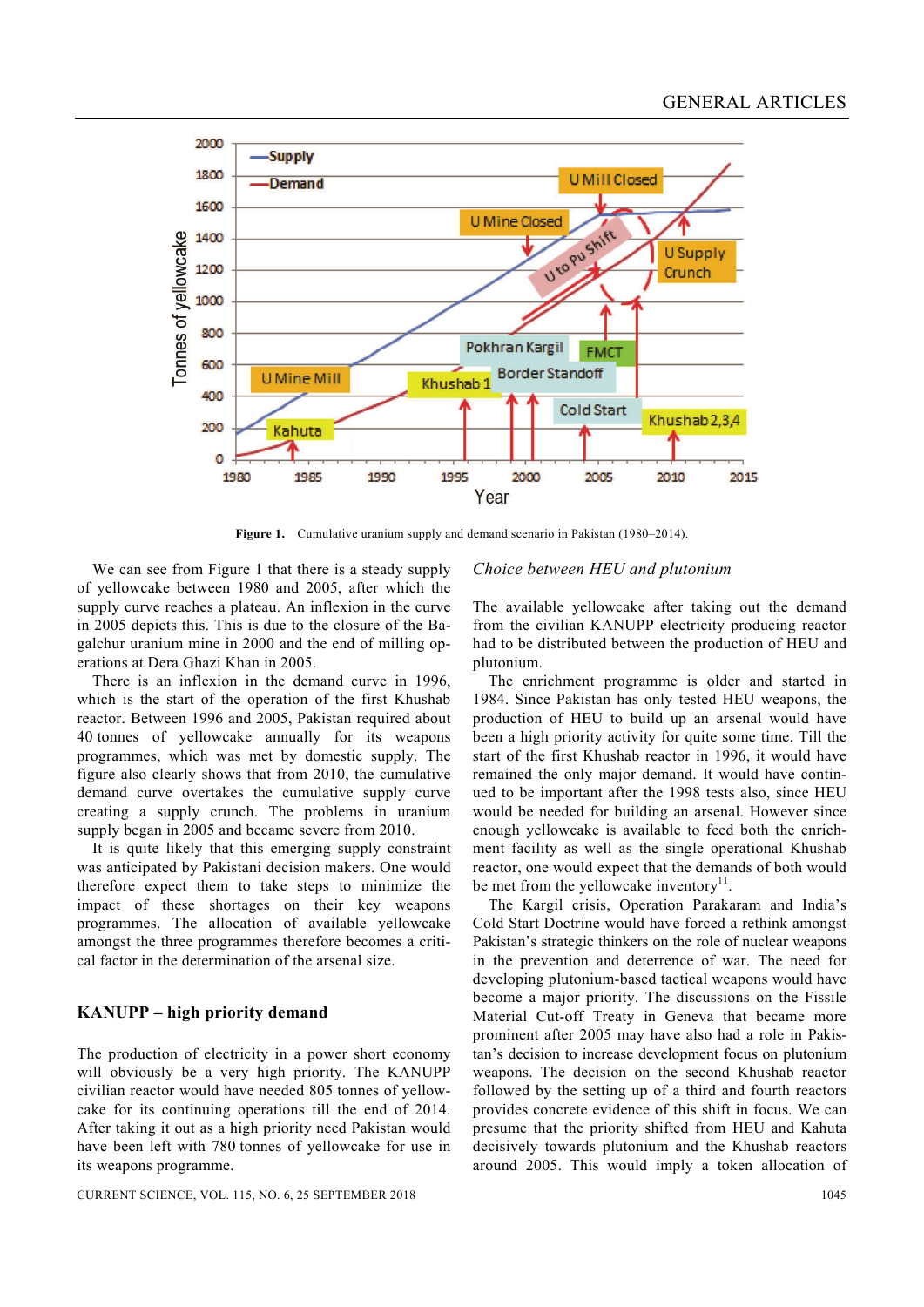

Figure 1. Cumulative uranium supply and demand scenario in Pakistan (1980–2014).

 We can see from Figure 1 that there is a steady supply of yellowcake between 1980 and 2005, after which the supply curve reaches a plateau. An inflexion in the curve in 2005 depicts this. This is due to the closure of the Bagalchur uranium mine in 2000 and the end of milling operations at Dera Ghazi Khan in 2005.

 There is an inflexion in the demand curve in 1996, which is the start of the operation of the first Khushab reactor. Between 1996 and 2005, Pakistan required about 40 tonnes of yellowcake annually for its weapons programmes, which was met by domestic supply. The figure also clearly shows that from 2010, the cumulative demand curve overtakes the cumulative supply curve creating a supply crunch. The problems in uranium supply began in 2005 and became severe from 2010.

 It is quite likely that this emerging supply constraint was anticipated by Pakistani decision makers. One would therefore expect them to take steps to minimize the impact of these shortages on their key weapons programmes. The allocation of available yellowcake amongst the three programmes therefore becomes a critical factor in the determination of the arsenal size.

#### **KANUPP – high priority demand**

The production of electricity in a power short economy will obviously be a very high priority. The KANUPP civilian reactor would have needed 805 tonnes of yellowcake for its continuing operations till the end of 2014. After taking it out as a high priority need Pakistan would have been left with 780 tonnes of yellowcake for use in its weapons programme.

#### CURRENT SCIENCE, VOL. 115, NO. 6, 25 SEPTEMBER 2018 1045

## *Choice between HEU and plutonium*

The available yellowcake after taking out the demand from the civilian KANUPP electricity producing reactor had to be distributed between the production of HEU and plutonium.

 The enrichment programme is older and started in 1984. Since Pakistan has only tested HEU weapons, the production of HEU to build up an arsenal would have been a high priority activity for quite some time. Till the start of the first Khushab reactor in 1996, it would have remained the only major demand. It would have continued to be important after the 1998 tests also, since HEU would be needed for building an arsenal. However since enough yellowcake is available to feed both the enrichment facility as well as the single operational Khushab reactor, one would expect that the demands of both would be met from the yellowcake inventory $11$ .

 The Kargil crisis, Operation Parakaram and India's Cold Start Doctrine would have forced a rethink amongst Pakistan's strategic thinkers on the role of nuclear weapons in the prevention and deterrence of war. The need for developing plutonium-based tactical weapons would have become a major priority. The discussions on the Fissile Material Cut-off Treaty in Geneva that became more prominent after 2005 may have also had a role in Pakistan's decision to increase development focus on plutonium weapons. The decision on the second Khushab reactor followed by the setting up of a third and fourth reactors provides concrete evidence of this shift in focus. We can presume that the priority shifted from HEU and Kahuta decisively towards plutonium and the Khushab reactors around 2005. This would imply a token allocation of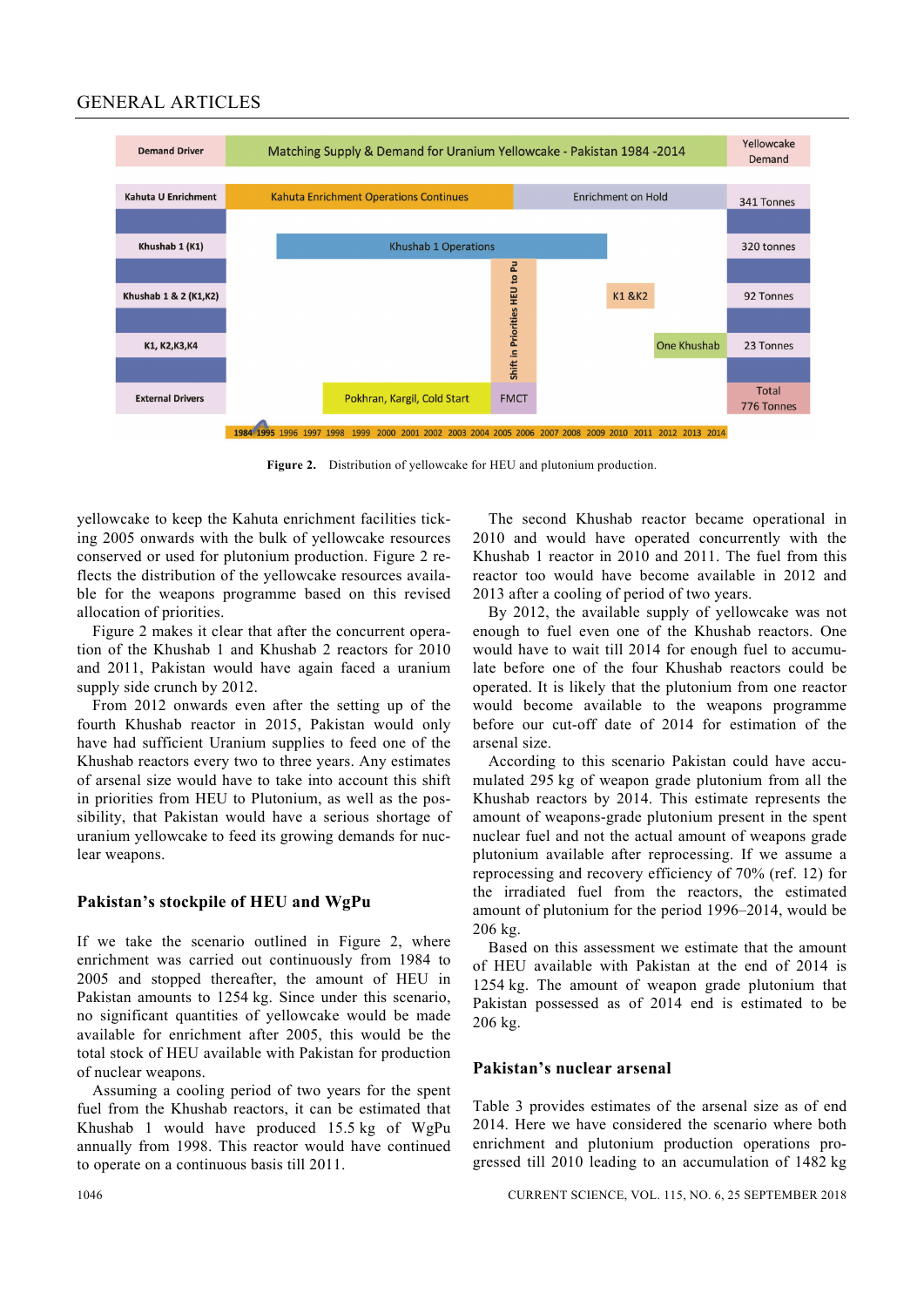#### GENERAL ARTICLES



**Figure 2.** Distribution of yellowcake for HEU and plutonium production.

yellowcake to keep the Kahuta enrichment facilities ticking 2005 onwards with the bulk of yellowcake resources conserved or used for plutonium production. Figure 2 reflects the distribution of the yellowcake resources available for the weapons programme based on this revised allocation of priorities.

 Figure 2 makes it clear that after the concurrent operation of the Khushab 1 and Khushab 2 reactors for 2010 and 2011, Pakistan would have again faced a uranium supply side crunch by 2012.

 From 2012 onwards even after the setting up of the fourth Khushab reactor in 2015, Pakistan would only have had sufficient Uranium supplies to feed one of the Khushab reactors every two to three years. Any estimates of arsenal size would have to take into account this shift in priorities from HEU to Plutonium, as well as the possibility, that Pakistan would have a serious shortage of uranium yellowcake to feed its growing demands for nuclear weapons.

#### **Pakistan's stockpile of HEU and WgPu**

If we take the scenario outlined in Figure 2, where enrichment was carried out continuously from 1984 to 2005 and stopped thereafter, the amount of HEU in Pakistan amounts to 1254 kg. Since under this scenario, no significant quantities of yellowcake would be made available for enrichment after 2005, this would be the total stock of HEU available with Pakistan for production of nuclear weapons.

 Assuming a cooling period of two years for the spent fuel from the Khushab reactors, it can be estimated that Khushab 1 would have produced 15.5 kg of WgPu annually from 1998. This reactor would have continued to operate on a continuous basis till 2011.

 The second Khushab reactor became operational in 2010 and would have operated concurrently with the Khushab 1 reactor in 2010 and 2011. The fuel from this reactor too would have become available in 2012 and 2013 after a cooling of period of two years.

 By 2012, the available supply of yellowcake was not enough to fuel even one of the Khushab reactors. One would have to wait till 2014 for enough fuel to accumulate before one of the four Khushab reactors could be operated. It is likely that the plutonium from one reactor would become available to the weapons programme before our cut-off date of 2014 for estimation of the arsenal size.

 According to this scenario Pakistan could have accumulated 295 kg of weapon grade plutonium from all the Khushab reactors by 2014. This estimate represents the amount of weapons-grade plutonium present in the spent nuclear fuel and not the actual amount of weapons grade plutonium available after reprocessing. If we assume a reprocessing and recovery efficiency of 70% (ref. 12) for the irradiated fuel from the reactors, the estimated amount of plutonium for the period 1996–2014, would be 206 kg.

 Based on this assessment we estimate that the amount of HEU available with Pakistan at the end of 2014 is 1254 kg. The amount of weapon grade plutonium that Pakistan possessed as of 2014 end is estimated to be 206 kg.

#### **Pakistan's nuclear arsenal**

Table 3 provides estimates of the arsenal size as of end 2014. Here we have considered the scenario where both enrichment and plutonium production operations progressed till 2010 leading to an accumulation of 1482 kg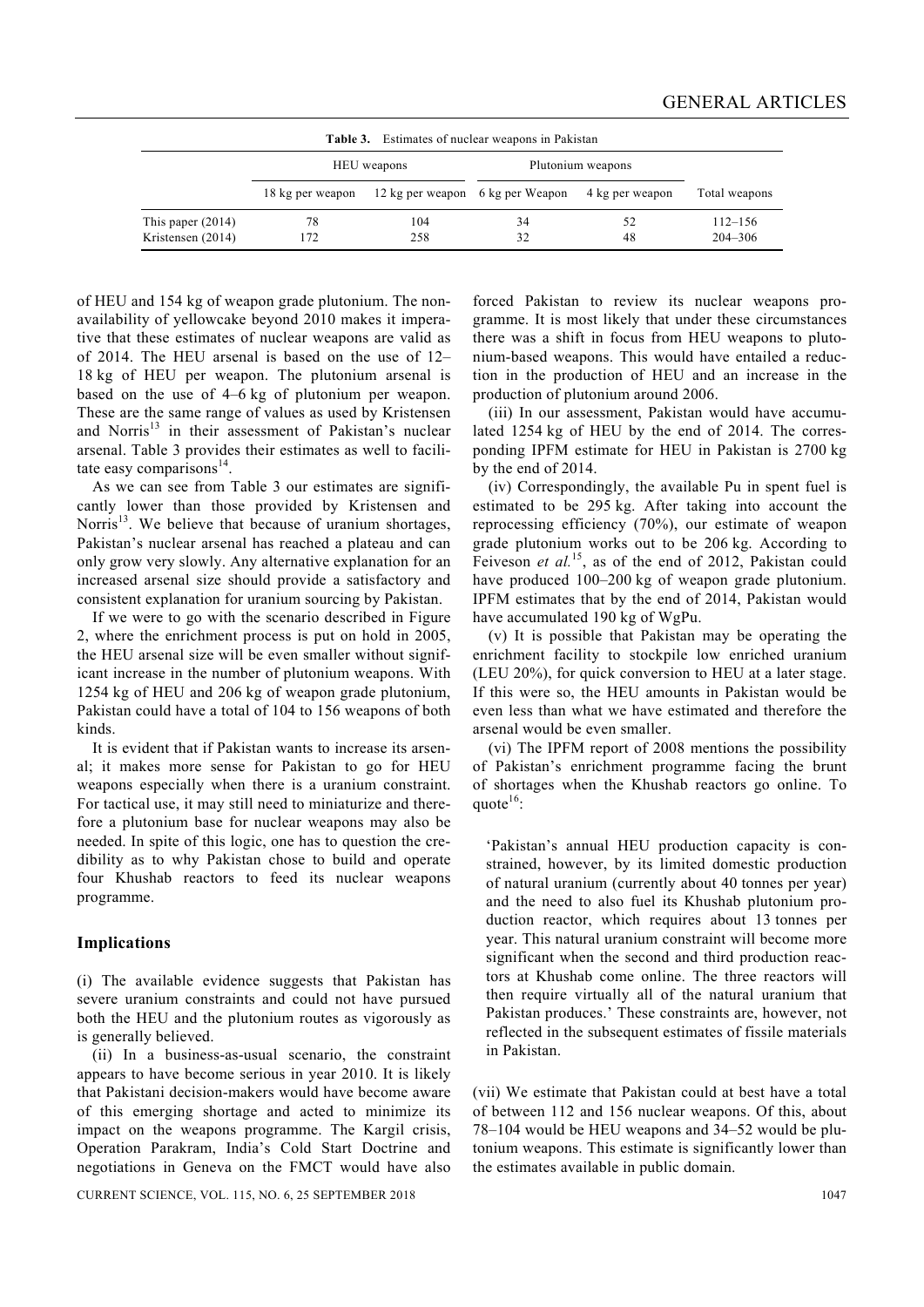| <b>Table 3.</b> Estimates of nuclear weapons in Pakistan |                  |                                  |                   |                 |                            |  |  |  |  |
|----------------------------------------------------------|------------------|----------------------------------|-------------------|-----------------|----------------------------|--|--|--|--|
|                                                          | HEU weapons      |                                  | Plutonium weapons |                 |                            |  |  |  |  |
|                                                          | 18 kg per weapon | 12 kg per weapon 6 kg per Weapon |                   | 4 kg per weapon | Total weapons              |  |  |  |  |
| This paper $(2014)$<br>Kristensen (2014)                 | 78<br>172        | 104<br>258                       | 34<br>32          | 52<br>48        | $112 - 156$<br>$204 - 306$ |  |  |  |  |

of HEU and 154 kg of weapon grade plutonium. The nonavailability of yellowcake beyond 2010 makes it imperative that these estimates of nuclear weapons are valid as of 2014. The HEU arsenal is based on the use of 12– 18 kg of HEU per weapon. The plutonium arsenal is based on the use of 4–6 kg of plutonium per weapon. These are the same range of values as used by Kristensen and Norris $13$  in their assessment of Pakistan's nuclear arsenal. Table 3 provides their estimates as well to facilitate easy comparisons $^{14}$ .

 As we can see from Table 3 our estimates are significantly lower than those provided by Kristensen and Norris $^{13}$ . We believe that because of uranium shortages, Pakistan's nuclear arsenal has reached a plateau and can only grow very slowly. Any alternative explanation for an increased arsenal size should provide a satisfactory and consistent explanation for uranium sourcing by Pakistan.

 If we were to go with the scenario described in Figure 2, where the enrichment process is put on hold in 2005, the HEU arsenal size will be even smaller without significant increase in the number of plutonium weapons. With 1254 kg of HEU and 206 kg of weapon grade plutonium, Pakistan could have a total of 104 to 156 weapons of both kinds.

 It is evident that if Pakistan wants to increase its arsenal; it makes more sense for Pakistan to go for HEU weapons especially when there is a uranium constraint. For tactical use, it may still need to miniaturize and therefore a plutonium base for nuclear weapons may also be needed. In spite of this logic, one has to question the credibility as to why Pakistan chose to build and operate four Khushab reactors to feed its nuclear weapons programme.

#### **Implications**

(i) The available evidence suggests that Pakistan has severe uranium constraints and could not have pursued both the HEU and the plutonium routes as vigorously as is generally believed.

 (ii) In a business-as-usual scenario, the constraint appears to have become serious in year 2010. It is likely that Pakistani decision-makers would have become aware of this emerging shortage and acted to minimize its impact on the weapons programme. The Kargil crisis, Operation Parakram, India's Cold Start Doctrine and negotiations in Geneva on the FMCT would have also

CURRENT SCIENCE, VOL. 115, NO. 6, 25 SEPTEMBER 2018 1047

forced Pakistan to review its nuclear weapons programme. It is most likely that under these circumstances there was a shift in focus from HEU weapons to plutonium-based weapons. This would have entailed a reduction in the production of HEU and an increase in the production of plutonium around 2006.

 (iii) In our assessment, Pakistan would have accumulated 1254 kg of HEU by the end of 2014. The corresponding IPFM estimate for HEU in Pakistan is 2700 kg by the end of 2014.

 (iv) Correspondingly, the available Pu in spent fuel is estimated to be 295 kg. After taking into account the reprocessing efficiency (70%), our estimate of weapon grade plutonium works out to be 206 kg. According to Feiveson *et al.*<sup>15</sup>, as of the end of 2012, Pakistan could have produced 100–200 kg of weapon grade plutonium. IPFM estimates that by the end of 2014, Pakistan would have accumulated 190 kg of WgPu.

 (v) It is possible that Pakistan may be operating the enrichment facility to stockpile low enriched uranium (LEU 20%), for quick conversion to HEU at a later stage. If this were so, the HEU amounts in Pakistan would be even less than what we have estimated and therefore the arsenal would be even smaller.

 (vi) The IPFM report of 2008 mentions the possibility of Pakistan's enrichment programme facing the brunt of shortages when the Khushab reactors go online. To quote $^{16}$ :

'Pakistan's annual HEU production capacity is constrained, however, by its limited domestic production of natural uranium (currently about 40 tonnes per year) and the need to also fuel its Khushab plutonium production reactor, which requires about 13 tonnes per year. This natural uranium constraint will become more significant when the second and third production reactors at Khushab come online. The three reactors will then require virtually all of the natural uranium that Pakistan produces.' These constraints are, however, not reflected in the subsequent estimates of fissile materials in Pakistan.

(vii) We estimate that Pakistan could at best have a total of between 112 and 156 nuclear weapons. Of this, about 78–104 would be HEU weapons and 34–52 would be plutonium weapons. This estimate is significantly lower than the estimates available in public domain.